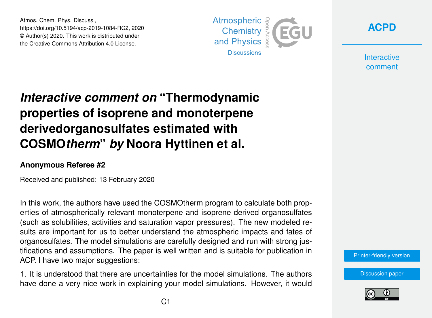Atmos. Chem. Phys. Discuss., https://doi.org/10.5194/acp-2019-1084-RC2, 2020 © Author(s) 2020. This work is distributed under the Creative Commons Attribution 4.0 License.





**Interactive** comment

## *Interactive comment on* **"Thermodynamic properties of isoprene and monoterpene derivedorganosulfates estimated with COSMO***therm***"** *by* **Noora Hyttinen et al.**

## **Anonymous Referee #2**

Received and published: 13 February 2020

In this work, the authors have used the COSMOtherm program to calculate both properties of atmospherically relevant monoterpene and isoprene derived organosulfates (such as solubilities, activities and saturation vapor pressures). The new modeled results are important for us to better understand the atmospheric impacts and fates of organosulfates. The model simulations are carefully designed and run with strong justifications and assumptions. The paper is well written and is suitable for publication in ACP. I have two major suggestions:

1. It is understood that there are uncertainties for the model simulations. The authors have done a very nice work in explaining your model simulations. However, it would [Printer-friendly version](https://www.atmos-chem-phys-discuss.net/acp-2019-1084/acp-2019-1084-RC2-print.pdf)

[Discussion paper](https://www.atmos-chem-phys-discuss.net/acp-2019-1084)

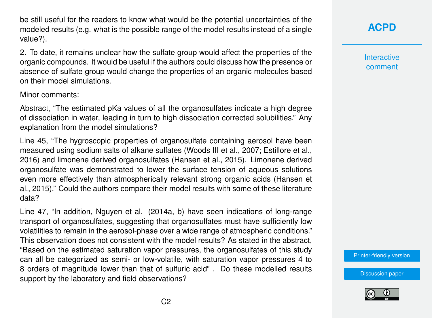be still useful for the readers to know what would be the potential uncertainties of the modeled results (e.g. what is the possible range of the model results instead of a single value?).

2. To date, it remains unclear how the sulfate group would affect the properties of the organic compounds. It would be useful if the authors could discuss how the presence or absence of sulfate group would change the properties of an organic molecules based on their model simulations.

Minor comments:

Abstract, "The estimated pKa values of all the organosulfates indicate a high degree of dissociation in water, leading in turn to high dissociation corrected solubilities." Any explanation from the model simulations?

Line 45, "The hygroscopic properties of organosulfate containing aerosol have been measured using sodium salts of alkane sulfates (Woods III et al., 2007; Estillore et al., 2016) and limonene derived organosulfates (Hansen et al., 2015). Limonene derived organosulfate was demonstrated to lower the surface tension of aqueous solutions even more effectively than atmospherically relevant strong organic acids (Hansen et al., 2015)." Could the authors compare their model results with some of these literature data?

Line 47, "In addition, Nguyen et al. (2014a, b) have seen indications of long-range transport of organosulfates, suggesting that organosulfates must have sufficiently low volatilities to remain in the aerosol-phase over a wide range of atmospheric conditions." This observation does not consistent with the model results? As stated in the abstract, "Based on the estimated saturation vapor pressures, the organosulfates of this study can all be categorized as semi- or low-volatile, with saturation vapor pressures 4 to 8 orders of magnitude lower than that of sulfuric acid" . Do these modelled results support by the laboratory and field observations?

**[ACPD](https://www.atmos-chem-phys-discuss.net/)**

**Interactive** comment

[Printer-friendly version](https://www.atmos-chem-phys-discuss.net/acp-2019-1084/acp-2019-1084-RC2-print.pdf)

[Discussion paper](https://www.atmos-chem-phys-discuss.net/acp-2019-1084)

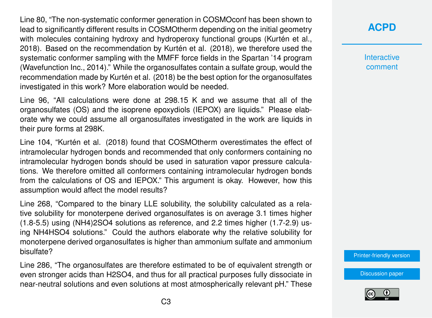Line 80, "The non-systematic conformer generation in COSMOconf has been shown to lead to significantly different results in COSMOtherm depending on the initial geometry with molecules containing hydroxy and hydroperoxy functional groups (Kurtén et al., 2018). Based on the recommendation by Kurtén et al. (2018), we therefore used the systematic conformer sampling with the MMFF force fields in the Spartan '14 program (Wavefunction Inc., 2014)." While the organosulfates contain a sulfate group, would the recommendation made by Kurtén et al. (2018) be the best option for the organosulfates investigated in this work? More elaboration would be needed.

Line 96, "All calculations were done at 298.15 K and we assume that all of the organosulfates (OS) and the isoprene epoxydiols (IEPOX) are liquids." Please elaborate why we could assume all organosulfates investigated in the work are liquids in their pure forms at 298K.

Line 104, "Kurtén et al. (2018) found that COSMOtherm overestimates the effect of intramolecular hydrogen bonds and recommended that only conformers containing no intramolecular hydrogen bonds should be used in saturation vapor pressure calculations. We therefore omitted all conformers containing intramolecular hydrogen bonds from the calculations of OS and IEPOX." This argument is okay. However, how this assumption would affect the model results?

Line 268, "Compared to the binary LLE solubility, the solubility calculated as a relative solubility for monoterpene derived organosulfates is on average 3.1 times higher (1.8-5.5) using (NH4)2SO4 solutions as reference, and 2.2 times higher (1.7-2.9) using NH4HSO4 solutions." Could the authors elaborate why the relative solubility for monoterpene derived organosulfates is higher than ammonium sulfate and ammonium bisulfate?

Line 286, "The organosulfates are therefore estimated to be of equivalent strength or even stronger acids than H2SO4, and thus for all practical purposes fully dissociate in near-neutral solutions and even solutions at most atmospherically relevant pH." These **[ACPD](https://www.atmos-chem-phys-discuss.net/)**

**Interactive** comment

[Printer-friendly version](https://www.atmos-chem-phys-discuss.net/acp-2019-1084/acp-2019-1084-RC2-print.pdf)

[Discussion paper](https://www.atmos-chem-phys-discuss.net/acp-2019-1084)